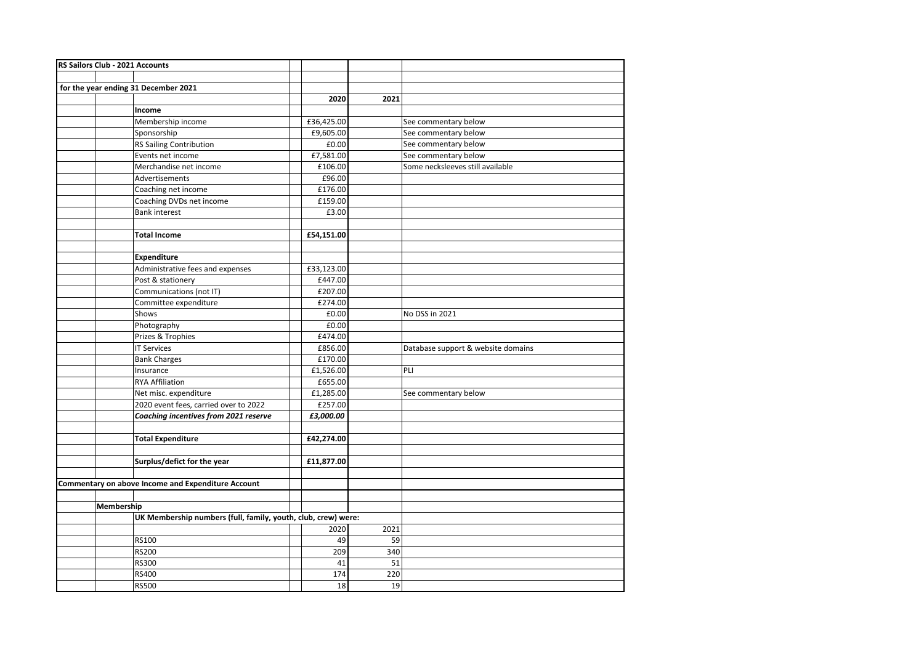| RS Sailors Club - 2021 Accounts                               |                                                    |            |      |                                    |
|---------------------------------------------------------------|----------------------------------------------------|------------|------|------------------------------------|
|                                                               |                                                    |            |      |                                    |
|                                                               | for the year ending 31 December 2021               |            |      |                                    |
|                                                               |                                                    | 2020       | 2021 |                                    |
|                                                               | Income                                             |            |      |                                    |
|                                                               | Membership income                                  | £36,425.00 |      | See commentary below               |
|                                                               | Sponsorship                                        | £9,605.00  |      | See commentary below               |
|                                                               | <b>RS Sailing Contribution</b>                     | £0.00      |      | See commentary below               |
|                                                               | Events net income                                  | £7,581.00  |      | See commentary below               |
|                                                               | Merchandise net income                             | £106.00    |      | Some necksleeves still available   |
|                                                               | Advertisements                                     | £96.00     |      |                                    |
|                                                               | Coaching net income                                | £176.00    |      |                                    |
|                                                               | Coaching DVDs net income                           | £159.00    |      |                                    |
|                                                               | <b>Bank interest</b>                               | £3.00      |      |                                    |
|                                                               |                                                    |            |      |                                    |
|                                                               | <b>Total Income</b>                                | £54,151.00 |      |                                    |
|                                                               |                                                    |            |      |                                    |
|                                                               | <b>Expenditure</b>                                 |            |      |                                    |
|                                                               | Administrative fees and expenses                   | £33,123.00 |      |                                    |
|                                                               | Post & stationery                                  | £447.00    |      |                                    |
|                                                               | Communications (not IT)                            | £207.00    |      |                                    |
|                                                               | Committee expenditure                              | £274.00    |      |                                    |
|                                                               | Shows                                              | £0.00      |      | No DSS in 2021                     |
|                                                               | Photography                                        | £0.00      |      |                                    |
|                                                               | Prizes & Trophies                                  | £474.00    |      |                                    |
|                                                               | <b>IT Services</b>                                 | £856.00    |      | Database support & website domains |
|                                                               | <b>Bank Charges</b>                                | £170.00    |      |                                    |
|                                                               | Insurance                                          | £1,526.00  |      | PLI                                |
|                                                               | <b>RYA Affiliation</b>                             | £655.00    |      |                                    |
|                                                               | Net misc. expenditure                              | £1,285.00  |      | See commentary below               |
|                                                               | 2020 event fees, carried over to 2022              | £257.00    |      |                                    |
|                                                               | Coaching incentives from 2021 reserve              | £3,000.00  |      |                                    |
|                                                               |                                                    |            |      |                                    |
|                                                               | <b>Total Expenditure</b>                           | £42,274.00 |      |                                    |
|                                                               |                                                    |            |      |                                    |
|                                                               | Surplus/defict for the year                        | £11,877.00 |      |                                    |
|                                                               |                                                    |            |      |                                    |
|                                                               | Commentary on above Income and Expenditure Account |            |      |                                    |
|                                                               |                                                    |            |      |                                    |
| Membership                                                    |                                                    |            |      |                                    |
| UK Membership numbers (full, family, youth, club, crew) were: |                                                    |            |      |                                    |
|                                                               |                                                    | 2020       | 2021 |                                    |
|                                                               | <b>RS100</b>                                       | 49         | 59   |                                    |
|                                                               | RS200                                              | 209        | 340  |                                    |
|                                                               | RS300                                              | 41         | 51   |                                    |
|                                                               | RS400                                              | 174        | 220  |                                    |
|                                                               | <b>RS500</b>                                       | 18         | 19   |                                    |